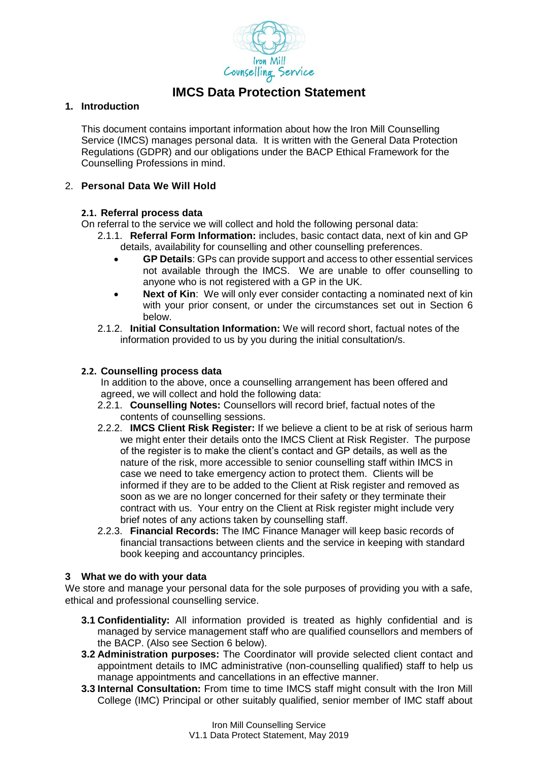

# **IMCS Data Protection Statement**

## **1. Introduction**

This document contains important information about how the Iron Mill Counselling Service (IMCS) manages personal data. It is written with the General Data Protection Regulations (GDPR) and our obligations under the BACP Ethical Framework for the Counselling Professions in mind.

#### 2. **Personal Data We Will Hold**

#### **2.1. Referral process data**

On referral to the service we will collect and hold the following personal data:

- 2.1.1. **Referral Form Information:** includes, basic contact data, next of kin and GP details, availability for counselling and other counselling preferences.
	- **GP Details**: GPs can provide support and access to other essential services not available through the IMCS. We are unable to offer counselling to anyone who is not registered with a GP in the UK.
	- **Next of Kin:** We will only ever consider contacting a nominated next of kin with your prior consent, or under the circumstances set out in Section 6 below.
- 2.1.2. **Initial Consultation Information:** We will record short, factual notes of the information provided to us by you during the initial consultation/s.

# **2.2. Counselling process data**

In addition to the above, once a counselling arrangement has been offered and agreed, we will collect and hold the following data:

- 2.2.1. **Counselling Notes:** Counsellors will record brief, factual notes of the contents of counselling sessions.
- 2.2.2. **IMCS Client Risk Register:** If we believe a client to be at risk of serious harm we might enter their details onto the IMCS Client at Risk Register. The purpose of the register is to make the client's contact and GP details, as well as the nature of the risk, more accessible to senior counselling staff within IMCS in case we need to take emergency action to protect them. Clients will be informed if they are to be added to the Client at Risk register and removed as soon as we are no longer concerned for their safety or they terminate their contract with us. Your entry on the Client at Risk register might include very brief notes of any actions taken by counselling staff.
- 2.2.3. **Financial Records:** The IMC Finance Manager will keep basic records of financial transactions between clients and the service in keeping with standard book keeping and accountancy principles.

#### **3 What we do with your data**

We store and manage your personal data for the sole purposes of providing you with a safe, ethical and professional counselling service.

- **3.1 Confidentiality:** All information provided is treated as highly confidential and is managed by service management staff who are qualified counsellors and members of the BACP. (Also see Section 6 below).
- **3.2 Administration purposes:** The Coordinator will provide selected client contact and appointment details to IMC administrative (non-counselling qualified) staff to help us manage appointments and cancellations in an effective manner.
- **3.3 Internal Consultation:** From time to time IMCS staff might consult with the Iron Mill College (IMC) Principal or other suitably qualified, senior member of IMC staff about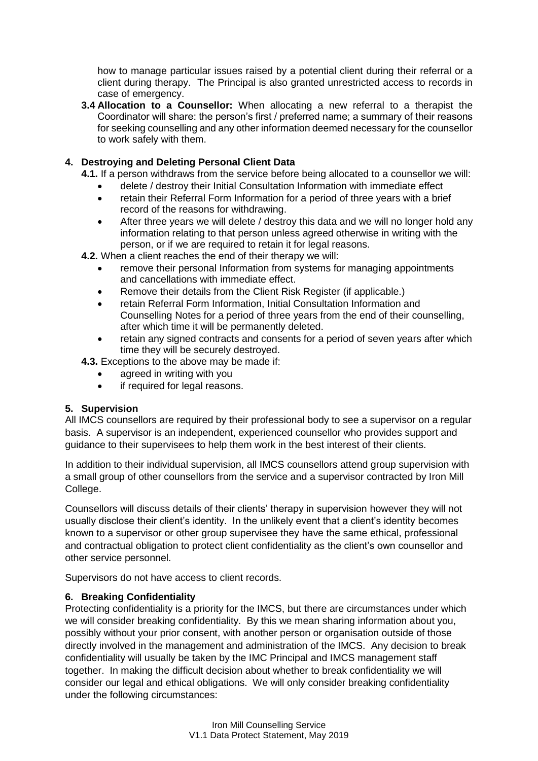how to manage particular issues raised by a potential client during their referral or a client during therapy. The Principal is also granted unrestricted access to records in case of emergency.

**3.4 Allocation to a Counsellor:** When allocating a new referral to a therapist the Coordinator will share: the person's first / preferred name; a summary of their reasons for seeking counselling and any other information deemed necessary for the counsellor to work safely with them.

# **4. Destroying and Deleting Personal Client Data**

- **4.1.** If a person withdraws from the service before being allocated to a counsellor we will:
	- delete / destroy their Initial Consultation Information with immediate effect
	- retain their Referral Form Information for a period of three years with a brief record of the reasons for withdrawing.
	- After three years we will delete / destroy this data and we will no longer hold any information relating to that person unless agreed otherwise in writing with the person, or if we are required to retain it for legal reasons.
- **4.2.** When a client reaches the end of their therapy we will:
	- remove their personal Information from systems for managing appointments and cancellations with immediate effect.
	- Remove their details from the Client Risk Register (if applicable.)
	- retain Referral Form Information, Initial Consultation Information and Counselling Notes for a period of three years from the end of their counselling, after which time it will be permanently deleted.
	- retain any signed contracts and consents for a period of seven years after which time they will be securely destroyed.

**4.3.** Exceptions to the above may be made if:

- agreed in writing with you
- if required for legal reasons.

## **5. Supervision**

All IMCS counsellors are required by their professional body to see a supervisor on a regular basis. A supervisor is an independent, experienced counsellor who provides support and guidance to their supervisees to help them work in the best interest of their clients.

In addition to their individual supervision, all IMCS counsellors attend group supervision with a small group of other counsellors from the service and a supervisor contracted by Iron Mill College.

Counsellors will discuss details of their clients' therapy in supervision however they will not usually disclose their client's identity. In the unlikely event that a client's identity becomes known to a supervisor or other group supervisee they have the same ethical, professional and contractual obligation to protect client confidentiality as the client's own counsellor and other service personnel.

Supervisors do not have access to client records.

## **6. Breaking Confidentiality**

Protecting confidentiality is a priority for the IMCS, but there are circumstances under which we will consider breaking confidentiality. By this we mean sharing information about you, possibly without your prior consent, with another person or organisation outside of those directly involved in the management and administration of the IMCS. Any decision to break confidentiality will usually be taken by the IMC Principal and IMCS management staff together. In making the difficult decision about whether to break confidentiality we will consider our legal and ethical obligations. We will only consider breaking confidentiality under the following circumstances: